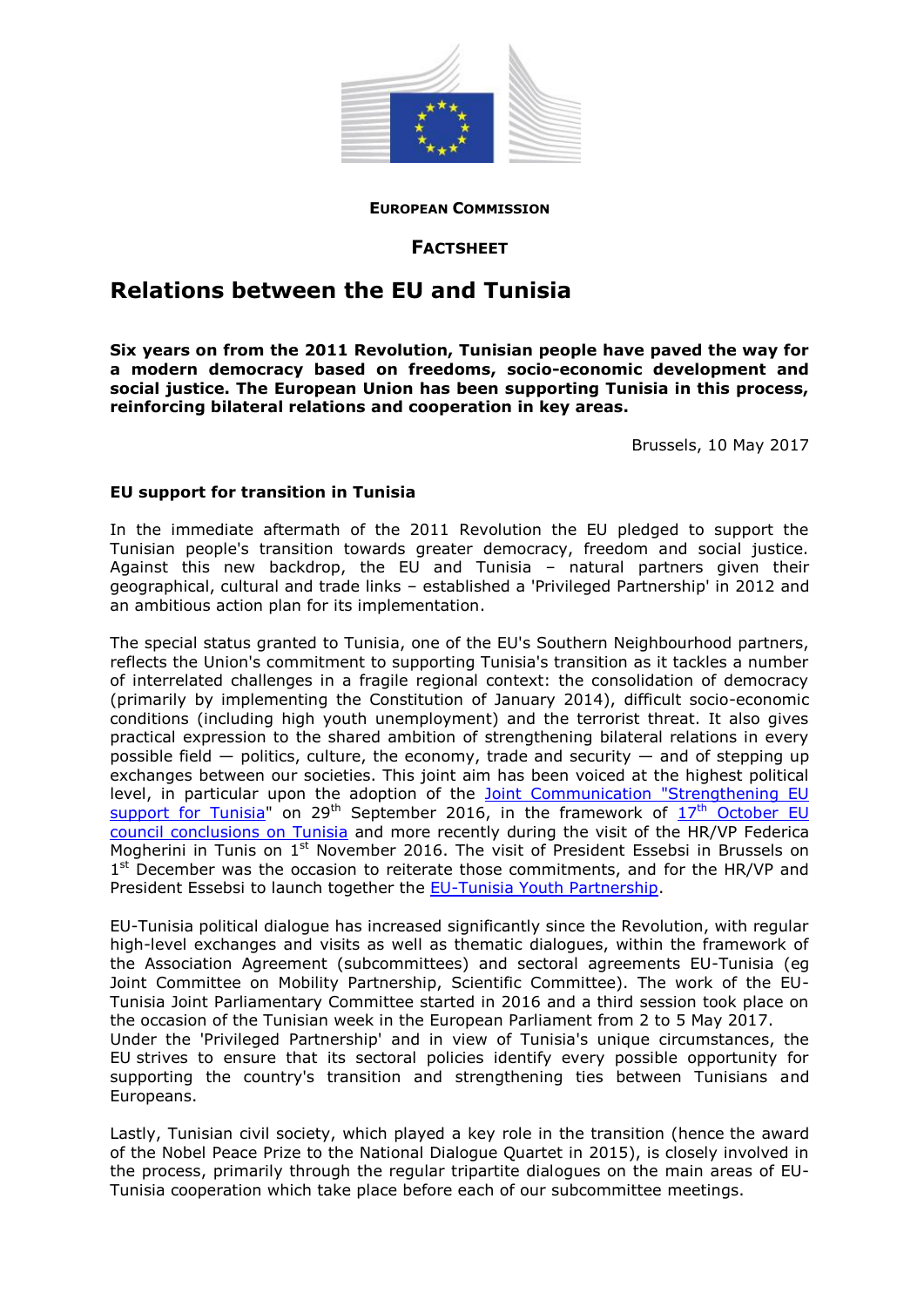

#### **EUROPEAN COMMISSION**

## **FACTSHEET**

# **Relations between the EU and Tunisia**

**Six years on from the 2011 Revolution, Tunisian people have paved the way for a modern democracy based on freedoms, socio-economic development and social justice. The European Union has been supporting Tunisia in this process, reinforcing bilateral relations and cooperation in key areas.**

Brussels, 10 May 2017

## **EU support for transition in Tunisia**

In the immediate aftermath of the 2011 Revolution the EU pledged to support the Tunisian people's transition towards greater democracy, freedom and social justice. Against this new backdrop, the EU and Tunisia – natural partners given their geographical, cultural and trade links – established a 'Privileged Partnership' in 2012 and an ambitious action plan for its implementation.

The special status granted to Tunisia, one of the EU's Southern Neighbourhood partners, reflects the Union's commitment to supporting Tunisia's transition as it tackles a number of interrelated challenges in a fragile regional context: the consolidation of democracy (primarily by implementing the Constitution of January 2014), difficult socio-economic conditions (including high youth unemployment) and the terrorist threat. It also gives practical expression to the shared ambition of strengthening bilateral relations in every possible field  $-$  politics, culture, the economy, trade and security  $-$  and of stepping up exchanges between our societies. This joint aim has been voiced at the highest political level, in particular upon the adoption of the **Joint Communication "Strengthening EU** [support for Tunisia"](https://eeas.europa.eu/headquarters/headquarters-homepage/10746/eu--tunisia-joint-communication_en) on 29<sup>th</sup> September 2016, in the framework of  $17<sup>th</sup>$  October EU [council conclusions](http://data.consilium.europa.eu/doc/document/ST-13056-2016-INIT/en/pdf) on Tunisia and more recently during the visit of the HR/VP Federica Mogherini in Tunis on 1<sup>st</sup> November 2016. The visit of President Essebsi in Brussels on 1<sup>st</sup> December was the occasion to reiterate those commitments, and for the HR/VP and President Essebsi to launch together the [EU-Tunisia Youth Partnership.](https://eeas.europa.eu/headquarters/headquarters-homepage/16727/node/16727_en)

EU-Tunisia political dialogue has increased significantly since the Revolution, with regular high-level exchanges and visits as well as thematic dialogues, within the framework of the Association Agreement (subcommittees) and sectoral agreements EU-Tunisia (eg Joint Committee on Mobility Partnership, Scientific Committee). The work of the EU-Tunisia Joint Parliamentary Committee started in 2016 and a third session took place on the occasion of the Tunisian week in the European Parliament from 2 to 5 May 2017. Under the 'Privileged Partnership' and in view of Tunisia's unique circumstances, the EU strives to ensure that its sectoral policies identify every possible opportunity for supporting the country's transition and strengthening ties between Tunisians and Europeans.

Lastly, Tunisian civil society, which played a key role in the transition (hence the award of the Nobel Peace Prize to the National Dialogue Quartet in 2015), is closely involved in the process, primarily through the regular tripartite dialogues on the main areas of EU-Tunisia cooperation which take place before each of our subcommittee meetings.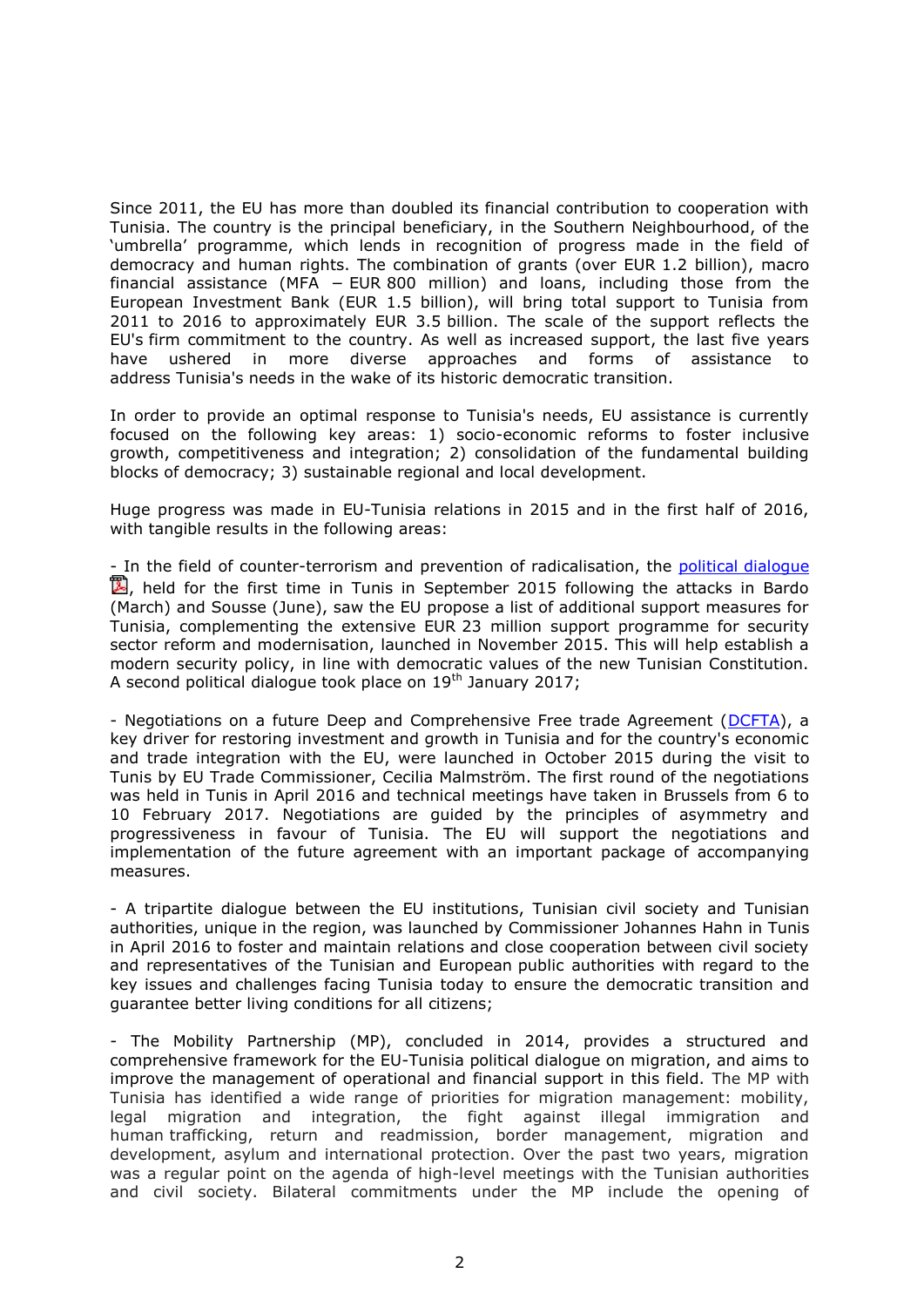Since 2011, the EU has more than doubled its financial contribution to cooperation with Tunisia. The country is the principal beneficiary, in the Southern Neighbourhood, of the 'umbrella' programme, which lends in recognition of progress made in the field of democracy and human rights. The combination of grants (over EUR 1.2 billion), macro financial assistance (MFA − EUR 800 million) and loans, including those from the European Investment Bank (EUR 1.5 billion), will bring total support to Tunisia from 2011 to 2016 to approximately EUR 3.5 billion. The scale of the support reflects the EU's firm commitment to the country. As well as increased support, the last five years have ushered in more diverse approaches and forms of assistance to address Tunisia's needs in the wake of its historic democratic transition.

In order to provide an optimal response to Tunisia's needs, EU assistance is currently focused on the following key areas: 1) socio-economic reforms to foster inclusive growth, competitiveness and integration; 2) consolidation of the fundamental building blocks of democracy; 3) sustainable regional and local development.

Huge progress was made in EU-Tunisia relations in 2015 and in the first half of 2016, with tangible results in the following areas:

- In the field of counter-terrorism and prevention of radicalisation, the political [dialogue](http://eeas.europa.eu/delegations/tunisia/documents/press_corner/cp_dialogue_politique_21sept2015_fr.pdf)  $\mathbb{Z}$ , held for the first time in Tunis in September 2015 following the attacks in Bardo (March) and Sousse (June), saw the EU propose a list of additional support measures for Tunisia, complementing the extensive EUR 23 million support programme for security sector reform and modernisation, launched in November 2015. This will help establish a modern security policy, in line with democratic values of the new Tunisian Constitution. A second political dialogue took place on  $19<sup>th</sup>$  January 2017;

- Negotiations on a future Deep and Comprehensive Free trade Agreement [\(DCFTA\)](http://eeas.europa.eu/delegations/tunisia/press_corner/all_news/news/2015/trade_oct2015_fr.htm), a key driver for restoring investment and growth in Tunisia and for the country's economic and trade integration with the EU, were launched in October 2015 during the visit to Tunis by EU Trade Commissioner, Cecilia Malmström. The first round of the negotiations was held in Tunis in April 2016 and technical meetings have taken in Brussels from 6 to 10 February 2017. Negotiations are guided by the principles of asymmetry and progressiveness in favour of Tunisia. The EU will support the negotiations and implementation of the future agreement with an important package of accompanying measures.

- A tripartite dialogue between the EU institutions, Tunisian civil society and Tunisian authorities, unique in the region, was launched by Commissioner Johannes Hahn in Tunis in April 2016 to foster and maintain relations and close cooperation between civil society and representatives of the Tunisian and European public authorities with regard to the key issues and challenges facing Tunisia today to ensure the democratic transition and guarantee better living conditions for all citizens;

- The Mobility Partnership (MP), concluded in 2014, provides a structured and comprehensive framework for the EU-Tunisia political dialogue on migration, and aims to improve the management of operational and financial support in this field. The MP with Tunisia has identified a wide range of priorities for migration management: mobility, legal migration and integration, the fight against illegal immigration and human trafficking, return and readmission, border management, migration and development, asylum and international protection. Over the past two years, migration was a regular point on the agenda of high-level meetings with the Tunisian authorities and civil society. Bilateral commitments under the MP include the opening of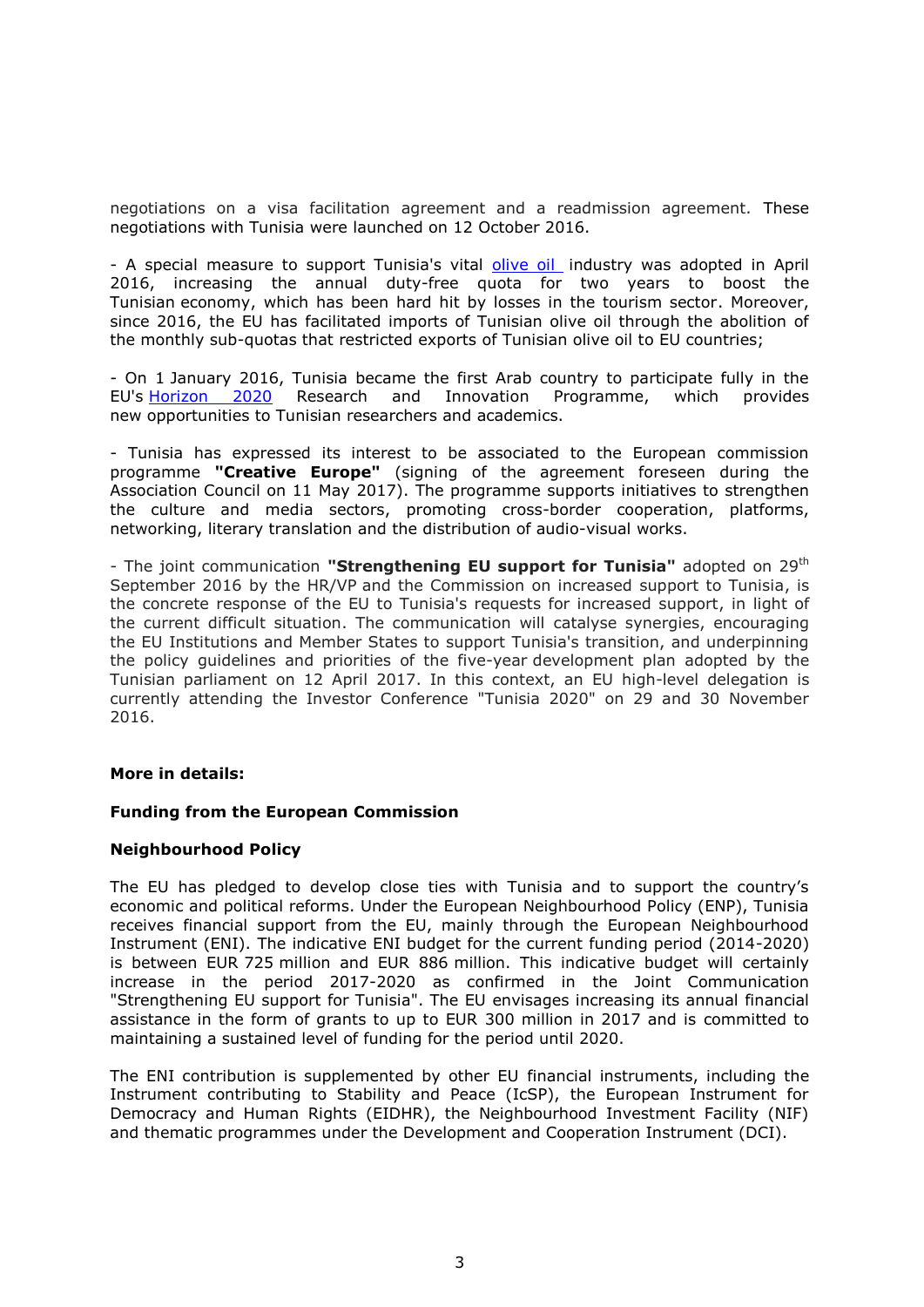negotiations on a visa facilitation agreement and a readmission agreement. These negotiations with Tunisia were launched on 12 October 2016.

- A special measure to support Tunisia's vital [olive oil](http://www.enpi-info.eu/mainmed.php?id=44165&id_type=1&lang_id=450) industry was adopted in April 2016, increasing the annual duty-free quota for two years to boost the Tunisian economy, which has been hard hit by losses in the tourism sector. Moreover, since 2016, the EU has facilitated imports of Tunisian olive oil through the abolition of the monthly sub-quotas that restricted exports of Tunisian olive oil to EU countries;

- On 1 January 2016, Tunisia became the first Arab country to participate fully in the EU's [Horizon 2020](http://ec.europa.eu/research/iscp/index.cfm?pg=tunisia) Research and Innovation Programme, which provides new opportunities to Tunisian researchers and academics.

- Tunisia has expressed its interest to be associated to the European commission programme **"Creative Europe"** (signing of the agreement foreseen during the Association Council on 11 May 2017). The programme supports initiatives to strengthen the culture and media sectors, promoting cross-border cooperation, platforms, networking, literary translation and the distribution of audio-visual works.

- The joint communication "Strengthening EU support for Tunisia" adopted on 29<sup>th</sup> September 2016 by the HR/VP and the Commission on increased support to Tunisia, is the concrete response of the EU to Tunisia's requests for increased support, in light of the current difficult situation. The communication will catalyse synergies, encouraging the EU Institutions and Member States to support Tunisia's transition, and underpinning the policy guidelines and priorities of the five-year development plan adopted by the Tunisian parliament on 12 April 2017. In this context, an EU high-level delegation is currently attending the Investor Conference "Tunisia 2020" on 29 and 30 November 2016.

#### **More in details:**

#### **Funding from the European Commission**

## **Neighbourhood Policy**

The EU has pledged to develop close ties with Tunisia and to support the country's economic and political reforms. Under the European Neighbourhood Policy (ENP), Tunisia receives financial support from the EU, mainly through the European Neighbourhood Instrument (ENI). The indicative ENI budget for the current funding period (2014-2020) is between EUR 725 million and EUR 886 million. This indicative budget will certainly increase in the period 2017-2020 as confirmed in the Joint Communication "Strengthening EU support for Tunisia". The EU envisages increasing its annual financial assistance in the form of grants to up to EUR 300 million in 2017 and is committed to maintaining a sustained level of funding for the period until 2020.

The ENI contribution is supplemented by other EU financial instruments, including the Instrument contributing to Stability and Peace (IcSP), the European Instrument for Democracy and Human Rights (EIDHR), the Neighbourhood Investment Facility (NIF) and thematic programmes under the Development and Cooperation Instrument (DCI).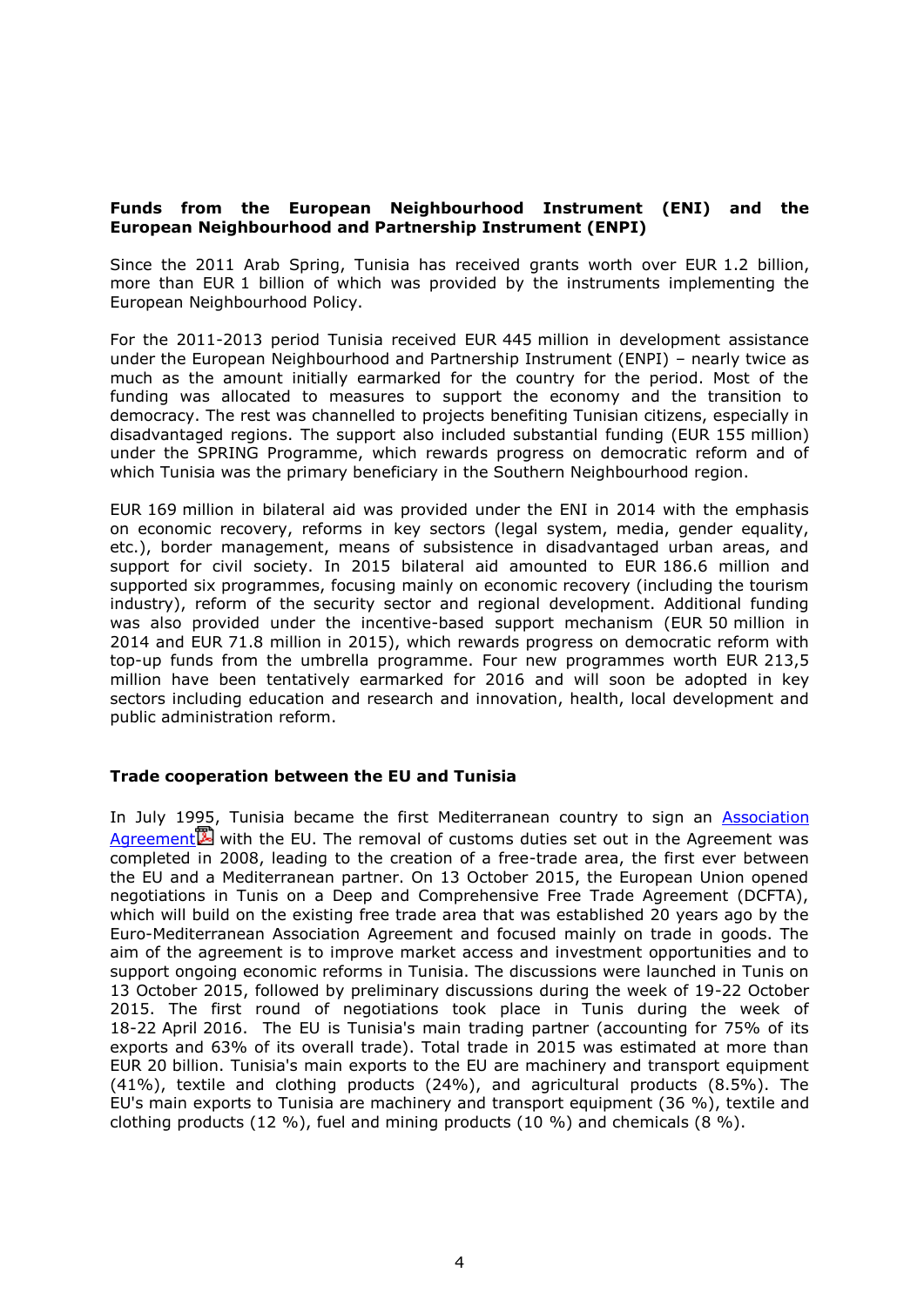# **Funds from the European Neighbourhood Instrument (ENI) and the European Neighbourhood and Partnership Instrument (ENPI)**

Since the 2011 Arab Spring, Tunisia has received grants worth over EUR 1.2 billion, more than EUR 1 billion of which was provided by the instruments implementing the European Neighbourhood Policy.

For the 2011-2013 period Tunisia received EUR 445 million in development assistance under the European Neighbourhood and Partnership Instrument (ENPI) – nearly twice as much as the amount initially earmarked for the country for the period. Most of the funding was allocated to measures to support the economy and the transition to democracy. The rest was channelled to projects benefiting Tunisian citizens, especially in disadvantaged regions. The support also included substantial funding (EUR 155 million) under the SPRING Programme, which rewards progress on democratic reform and of which Tunisia was the primary beneficiary in the Southern Neighbourhood region.

EUR 169 million in bilateral aid was provided under the ENI in 2014 with the emphasis on economic recovery, reforms in key sectors (legal system, media, gender equality, etc.), border management, means of subsistence in disadvantaged urban areas, and support for civil society. In 2015 bilateral aid amounted to EUR 186.6 million and supported six programmes, focusing mainly on economic recovery (including the tourism industry), reform of the security sector and regional development. Additional funding was also provided under the incentive-based support mechanism (EUR 50 million in 2014 and EUR 71.8 million in 2015), which rewards progress on democratic reform with top-up funds from the umbrella programme. Four new programmes worth EUR 213,5 million have been tentatively earmarked for 2016 and will soon be adopted in key sectors including education and research and innovation, health, local development and public administration reform.

## **Trade cooperation between the EU and Tunisia**

In July 1995, Tunisia became the first Mediterranean country to sign an **Association** [Agreement](http://trade.ec.europa.eu/doclib/docs/2006/march/tradoc_127986.pdf) $\mathbb{Z}$  with the EU. The removal of customs duties set out in the Agreement was completed in 2008, leading to the creation of a free-trade area, the first ever between the EU and a Mediterranean partner. On 13 October 2015, the European Union opened negotiations in Tunis on a Deep and Comprehensive Free Trade Agreement (DCFTA), which will build on the existing free trade area that was established 20 years ago by the Euro-Mediterranean Association Agreement and focused mainly on trade in goods. The aim of the agreement is to improve market access and investment opportunities and to support ongoing economic reforms in Tunisia. The discussions were launched in Tunis on 13 October 2015, followed by preliminary discussions during the week of 19-22 October 2015. The first round of negotiations took place in Tunis during the week of 18-22 April 2016. The EU is Tunisia's main trading partner (accounting for 75% of its exports and 63% of its overall trade). Total trade in 2015 was estimated at more than EUR 20 billion. Tunisia's main exports to the EU are machinery and transport equipment (41%), textile and clothing products (24%), and agricultural products (8.5%). The EU's main exports to Tunisia are machinery and transport equipment (36 %), textile and clothing products (12 %), fuel and mining products (10 %) and chemicals (8 %).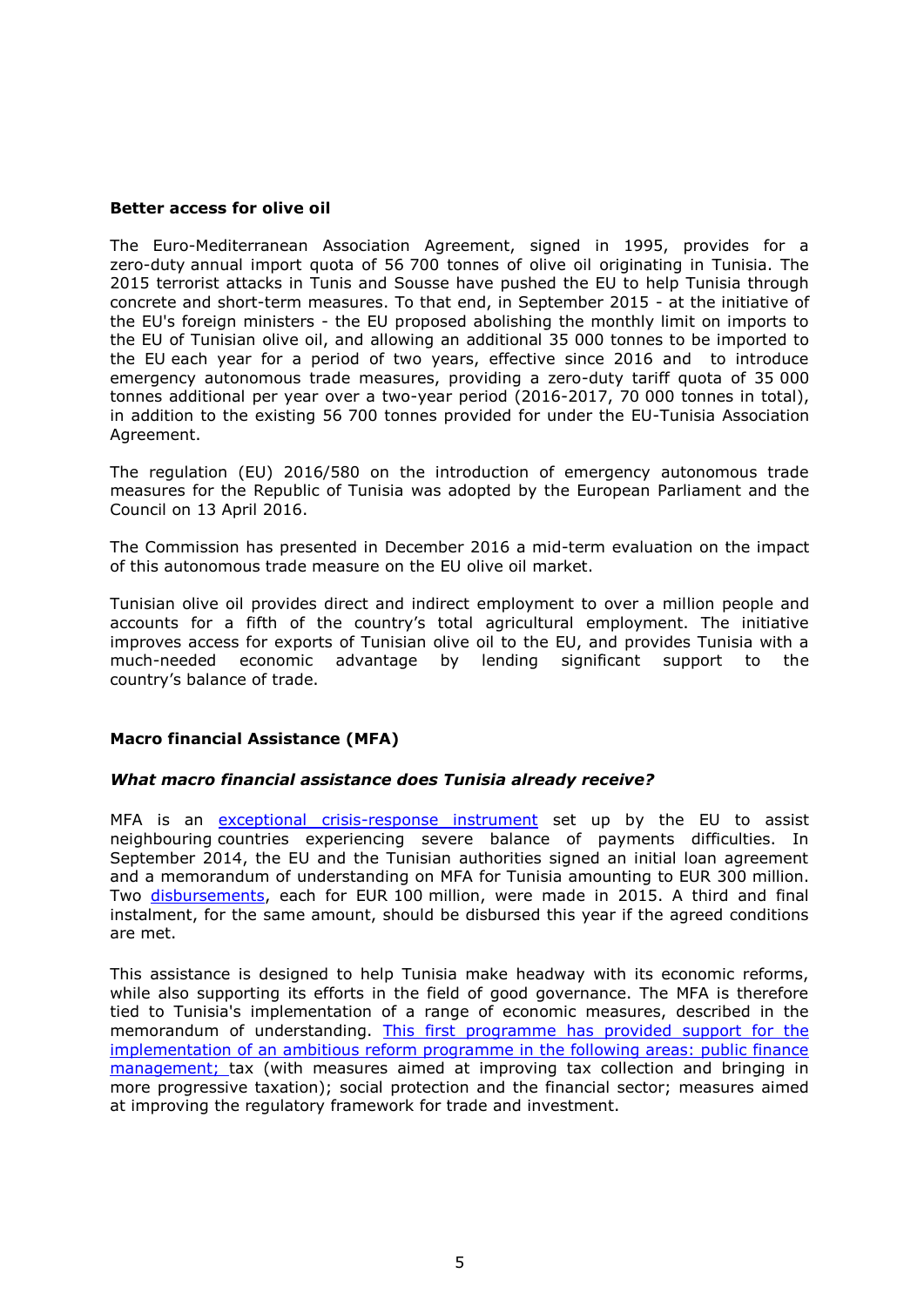#### **Better access for olive oil**

The Euro-Mediterranean Association Agreement, signed in 1995, provides for a zero-duty annual import quota of 56 700 tonnes of olive oil originating in Tunisia. The 2015 terrorist attacks in Tunis and Sousse have pushed the EU to help Tunisia through concrete and short-term measures. To that end, in September 2015 - at the initiative of the EU's foreign ministers - the EU proposed abolishing the monthly limit on imports to the EU of Tunisian olive oil, and allowing an additional 35 000 tonnes to be imported to the EU each year for a period of two years, effective since 2016 and to introduce emergency autonomous trade measures, providing a zero-duty tariff quota of 35 000 tonnes additional per year over a two-year period (2016-2017, 70 000 tonnes in total), in addition to the existing 56 700 tonnes provided for under the EU-Tunisia Association Agreement.

The regulation (EU) 2016/580 on the introduction of emergency autonomous trade measures for the Republic of Tunisia was adopted by the European Parliament and the Council on 13 April 2016.

The Commission has presented in December 2016 a mid-term evaluation on the impact of this autonomous trade measure on the EU olive oil market.

Tunisian olive oil provides direct and indirect employment to over a million people and accounts for a fifth of the country's total agricultural employment. The initiative improves access for exports of Tunisian olive oil to the EU, and provides Tunisia with a much-needed economic advantage by lending significant support to the country's balance of trade.

## **Macro financial Assistance (MFA)**

## *What macro financial assistance does Tunisia already receive?*

MFA is an [exceptional crisis-response instrument](http://ec.europa.eu/economy_finance/eu_borrower/macro-financial_assistance/index_en.htm) set up by the EU to assist neighbouring countries experiencing severe balance of payments difficulties. In September 2014, the EU and the Tunisian authorities signed an initial loan agreement and a memorandum of understanding on MFA for Tunisia amounting to EUR 300 million. Two [disbursements,](http://europa.eu/rapid/press-release_IP-15-6085_en.htm) each for EUR 100 million, were made in 2015. A third and final instalment, for the same amount, should be disbursed this year if the agreed conditions are met.

This assistance is designed to help Tunisia make headway with its economic reforms, while also supporting its efforts in the field of good governance. The MFA is therefore tied to Tunisia's implementation of a range of economic measures, described in the memorandum of understanding. This [first programme has provided support for the](http://eur-lex.europa.eu/legal-content/EN/TXT/PDF/?uri=OJ:L:2014:151:FULL&from=EN)  [implementation of an ambitious reform programme in the following areas: public finance](http://eur-lex.europa.eu/legal-content/EN/TXT/PDF/?uri=OJ:L:2014:151:FULL&from=EN)  [management; t](http://eur-lex.europa.eu/legal-content/EN/TXT/PDF/?uri=OJ:L:2014:151:FULL&from=EN)ax (with measures aimed at improving tax collection and bringing in more progressive taxation); social protection and the financial sector; measures aimed at improving the regulatory framework for trade and investment.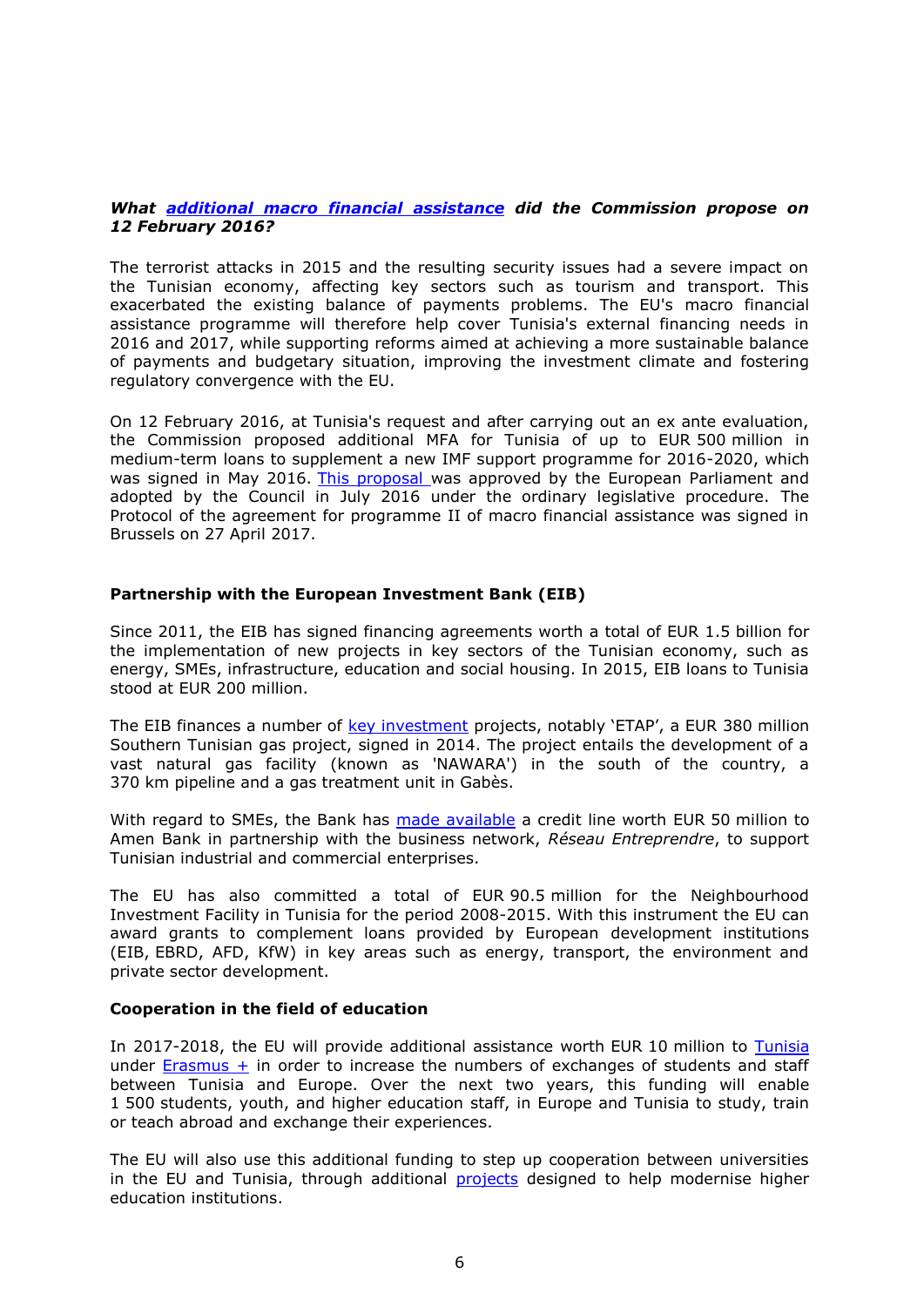## *What [additional macro financial](http://europa.eu/rapid/press-release_IP-16-289_en.htm) assistance did the Commission propose on 12 February 2016?*

The terrorist attacks in 2015 and the resulting security issues had a severe impact on the Tunisian economy, affecting key sectors such as tourism and transport. This exacerbated the existing balance of payments problems. The EU's macro financial assistance programme will therefore help cover Tunisia's external financing needs in 2016 and 2017, while supporting reforms aimed at achieving a more sustainable balance of payments and budgetary situation, improving the investment climate and fostering regulatory convergence with the EU.

On 12 February 2016, at Tunisia's request and after carrying out an ex ante evaluation, the Commission proposed additional MFA for Tunisia of up to EUR 500 million in medium-term loans to supplement a new IMF support programme for 2016-2020, which was signed in May 2016. [This proposal w](http://ec.europa.eu/economy_finance/eu_borrower/documents/20160212_com_proposal_mfa_tunisia_en.pdf)as approved by the European Parliament and adopted by the Council in July 2016 under the ordinary legislative procedure. The Protocol of the agreement for programme II of macro financial assistance was signed in Brussels on 27 April 2017.

#### **Partnership with the European Investment Bank (EIB)**

Since 2011, the EIB has signed financing agreements worth a total of EUR 1.5 billion for the implementation of new projects in key sectors of the Tunisian economy, such as energy, SMEs, infrastructure, education and social housing. In 2015, EIB loans to Tunisia stood at EUR 200 million.

The EIB finances a number of [key investment](http://europa.eu/rapid/press-release_BEI-14-47_en.htm) projects, notably 'ETAP', a EUR 380 million Southern Tunisian gas project, signed in 2014. The project entails the development of a vast natural gas facility (known as 'NAWARA') in the south of the country, a 370 km pipeline and a gas treatment unit in Gabès.

With regard to SMEs, the Bank has [made available](http://www.eib.org/infocentre/press/releases/all/2015/2015-199-forte-mobilisation-de-la-bei-en-faveur-des-entreprises-tunisiennes.htm?lang=en) a credit line worth EUR 50 million to Amen Bank in partnership with the business network, *Réseau Entreprendre*, to support Tunisian industrial and commercial enterprises.

The EU has also committed a total of EUR 90.5 million for the Neighbourhood Investment Facility in Tunisia for the period 2008-2015. With this instrument the EU can award grants to complement loans provided by European development institutions (EIB, EBRD, AFD, KfW) in key areas such as energy, transport, the environment and private sector development.

#### **Cooperation in the field of education**

In 2017-2018, the EU will provide additional assistance worth EUR 10 million to [Tunisia](http://www.erasmusplus.tn/en/)  under Erasmus  $+$  in order to increase the numbers of exchanges of students and staff between Tunisia and Europe. Over the next two years, this funding will enable 1 500 students, youth, and higher education staff, in Europe and Tunisia to study, train or teach abroad and exchange their experiences.

The EU will also use this additional funding to step up cooperation between universities in the EU and Tunisia, through additional **[projects](http://www.erasmusplus.tn/en/article/0031-capacity-building-opportunities)** designed to help modernise higher education institutions.